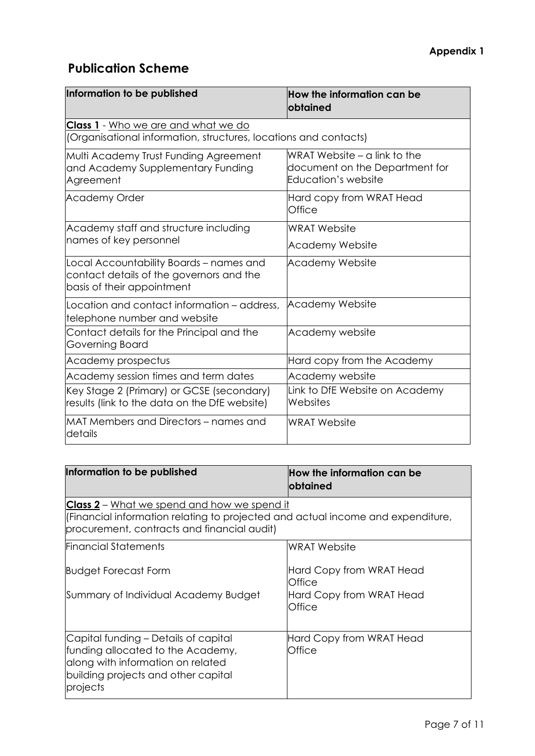## **Publication Scheme**

| Information to be published                                                                                       | How the information can be<br><b>lobtained</b>                                          |
|-------------------------------------------------------------------------------------------------------------------|-----------------------------------------------------------------------------------------|
| <b>Class 1</b> - Who we are and what we do<br>(Organisational information, structures, locations and contacts)    |                                                                                         |
| Multi Academy Trust Funding Agreement<br>and Academy Supplementary Funding<br>Agreement                           | WRAT Website $-$ a link to the<br>document on the Department for<br>Education's website |
| <b>Academy Order</b>                                                                                              | Hard copy from WRAT Head<br>Office                                                      |
| Academy staff and structure including<br>names of key personnel                                                   | <b>WRAT Website</b><br><b>Academy Website</b>                                           |
| Local Accountability Boards - names and<br>contact details of the governors and the<br>basis of their appointment | Academy Website                                                                         |
| Location and contact information – address,<br>telephone number and website                                       | <b>Academy Website</b>                                                                  |
| Contact details for the Principal and the<br>Governing Board                                                      | Academy website                                                                         |
| Academy prospectus                                                                                                | Hard copy from the Academy                                                              |
| Academy session times and term dates                                                                              | Academy website                                                                         |
| Key Stage 2 (Primary) or GCSE (secondary)<br>results (link to the data on the DfE website)                        | Link to DfE Website on Academy<br>Websites                                              |
| MAT Members and Directors – names and<br>details                                                                  | <b>WRAT Website</b>                                                                     |

| Information to be published                                                                                                                                                          | How the information can be<br><b>lobtained</b>                                  |
|--------------------------------------------------------------------------------------------------------------------------------------------------------------------------------------|---------------------------------------------------------------------------------|
| <b>Class 2</b> – What we spend and how we spend it<br>(Financial information relating to projected and actual income and expenditure,<br>procurement, contracts and financial audit) |                                                                                 |
| <b>Financial Statements</b>                                                                                                                                                          | <b>WRAT Website</b>                                                             |
| <b>Budget Forecast Form</b><br>Summary of Individual Academy Budget                                                                                                                  | Hard Copy from WRAT Head<br><b>Office</b><br>Hard Copy from WRAT Head<br>Office |
| Capital funding - Details of capital<br>funding allocated to the Academy,<br>along with information on related<br>building projects and other capital<br>projects                    | Hard Copy from WRAT Head<br>Office                                              |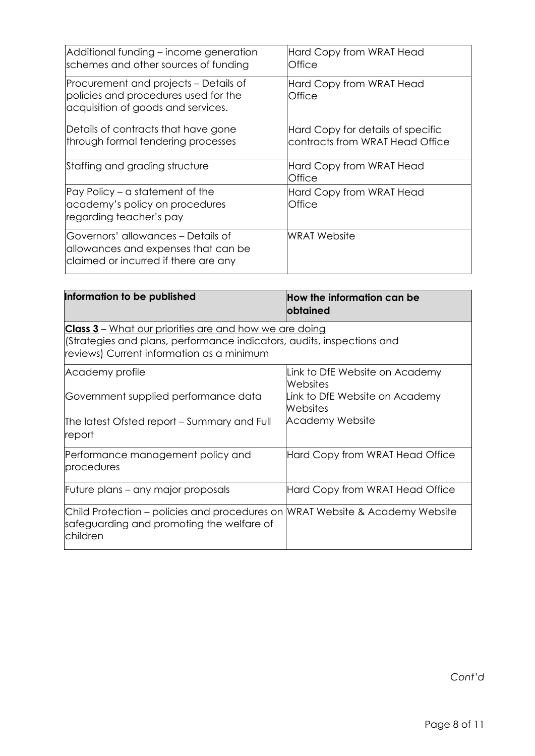| Additional funding - income generation<br>schemes and other sources of funding                                      | Hard Copy from WRAT Head<br>Office                                   |
|---------------------------------------------------------------------------------------------------------------------|----------------------------------------------------------------------|
| Procurement and projects – Details of<br>policies and procedures used for the<br>acquisition of goods and services. | Hard Copy from WRAT Head<br>Office                                   |
| Details of contracts that have gone<br>through formal tendering processes                                           | Hard Copy for details of specific<br>contracts from WRAT Head Office |
| Staffing and grading structure                                                                                      | Hard Copy from WRAT Head<br>Office                                   |
| Pay Policy – a statement of the<br>academy's policy on procedures<br>regarding teacher's pay                        | Hard Copy from WRAT Head<br>Office                                   |
| Governors' allowances - Details of<br>allowances and expenses that can be<br>claimed or incurred if there are any   | WRAT Website                                                         |

| Information to be published                                                                                                                                                          | How the information can be<br>obtained     |
|--------------------------------------------------------------------------------------------------------------------------------------------------------------------------------------|--------------------------------------------|
| <b>Class 3</b> – What our priorities are and how we are doing<br>(Strategies and plans, performance indicators, audits, inspections and<br>reviews) Current information as a minimum |                                            |
| Academy profile                                                                                                                                                                      | Link to DfE Website on Academy<br>Websites |
| Government supplied performance data                                                                                                                                                 | Link to DfE Website on Academy<br>Websites |
| The latest Ofsted report – Summary and Full<br>report                                                                                                                                | <b>Academy Website</b>                     |
| Performance management policy and<br>procedures                                                                                                                                      | Hard Copy from WRAT Head Office            |
| Future plans – any major proposals                                                                                                                                                   | Hard Copy from WRAT Head Office            |
| Child Protection – policies and procedures on WRAT Website & Academy Website<br>safeguarding and promoting the welfare of<br>children                                                |                                            |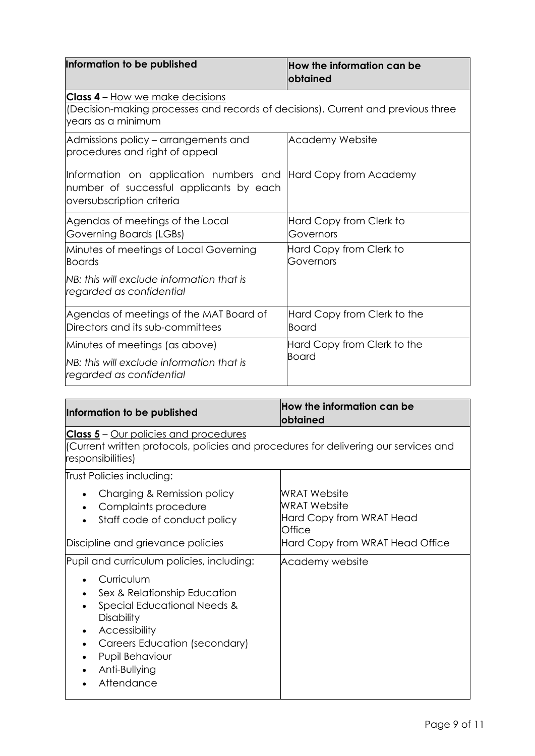| Information to be published                                                                                                                      | $\,$ How the information can be<br><b>obtained</b> |
|--------------------------------------------------------------------------------------------------------------------------------------------------|----------------------------------------------------|
| <b>Class 4</b> – How we make decisions<br>(Decision-making processes and records of decisions). Current and previous three<br>years as a minimum |                                                    |
| Admissions policy – arrangements and<br>procedures and right of appeal                                                                           | <b>Academy Website</b>                             |
| Information on application numbers and Hard Copy from Academy<br>number of successful applicants by each<br>oversubscription criteria            |                                                    |
| Agendas of meetings of the Local<br>Governing Boards (LGBs)                                                                                      | Hard Copy from Clerk to<br>Governors               |
| Minutes of meetings of Local Governing<br><b>Boards</b>                                                                                          | Hard Copy from Clerk to<br>Governors               |
| <b>NB:</b> this will exclude information that is<br>regarded as confidential                                                                     |                                                    |
| Agendas of meetings of the MAT Board of<br>Directors and its sub-committees                                                                      | Hard Copy from Clerk to the<br><b>Board</b>        |
| Minutes of meetings (as above)                                                                                                                   | Hard Copy from Clerk to the<br><b>Board</b>        |
| NB: this will exclude information that is<br>regarded as confidential                                                                            |                                                    |

| Information to be published                                                                                                                                                                        | How the information can be<br>obtained                                                                       |
|----------------------------------------------------------------------------------------------------------------------------------------------------------------------------------------------------|--------------------------------------------------------------------------------------------------------------|
| <b>Class 5</b> – Our policies and procedures<br>(Current written protocols, policies and procedures for delivering our services and<br>responsibilities)                                           |                                                                                                              |
| Trust Policies including:                                                                                                                                                                          |                                                                                                              |
| Charging & Remission policy<br>Complaints procedure<br>Staff code of conduct policy<br>Discipline and grievance policies                                                                           | WRAT Website<br><b>WRAT Website</b><br>Hard Copy from WRAT Head<br>Office<br>Hard Copy from WRAT Head Office |
| Pupil and curriculum policies, including:                                                                                                                                                          | Academy website                                                                                              |
| Curriculum<br>Sex & Relationship Education<br>Special Educational Needs &<br><b>Disability</b><br>Accessibility<br>Careers Education (secondary)<br>Pupil Behaviour<br>Anti-Bullying<br>Attendance |                                                                                                              |